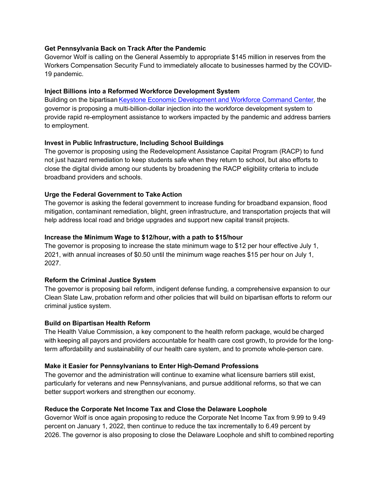### **Get Pennsylvania Back on Track After the Pandemic**

Governor Wolf is calling on the General Assembly to appropriate \$145 million in reserves from the Workers Compensation Security Fund to immediately allocate to businesses harmed by the COVID-19 pandemic.

## **Inject Billions into a Reformed Workforce Development System**

Building on the bipartisan Keystone Economic [Development and Workforce Command Center,](https://www.governor.pa.gov/wp-content/uploads/2020/01/20200127-Workforce-Command-Center-Annual-Report.pdf) the governor is proposing a multi-billion-dollar injection into the workforce development system to provide rapid re-employment assistance to workers impacted by the pandemic and address barriers to employment.  

## **Invest in Public Infrastructure, Including School Buildings**

The governor is proposing using the Redevelopment Assistance Capital Program (RACP) to fund not just hazard remediation to keep students safe when they return to school, but also efforts to close the digital divide among our students by broadening the RACP eligibility criteria to include broadband providers and schools.    

## **Urge the Federal Government to Take Action**

The governor is asking the federal government to increase funding for broadband expansion, flood mitigation, contaminant remediation, blight, green infrastructure, and transportation projects that will help address local road and bridge upgrades and support new capital transit projects.

## **Increase the Minimum Wage to \$12/hour, with a path to \$15/hour**

The governor is proposing to increase the state minimum wage to \$12 per hour effective July 1, 2021, with annual increases of \$0.50 until the minimum wage reaches \$15 per hour on July 1, 2027.   

# **Reform the Criminal Justice System**

The governor is proposing bail reform, indigent defense funding, a comprehensive expansion to our Clean Slate Law, probation reform and other policies that will build on bipartisan efforts to reform our criminal justice system.   

# **Build on Bipartisan Health Reform**

The Health Value Commission, a key component to the health reform package, would be charged with keeping all payors and providers accountable for health care cost growth, to provide for the longterm affordability and sustainability of our health care system, and to promote whole-person care.  

### **Make it Easier for Pennsylvanians to Enter High-Demand Professions**

The governor and the administration will continue to examine what licensure barriers still exist, particularly for veterans and new Pennsylvanians, and pursue additional reforms, so that we can better support workers and strengthen our economy.

### **Reduce the Corporate Net Income Tax and Close the Delaware Loophole**

Governor Wolf is once again proposing to reduce the Corporate Net Income Tax from 9.99 to 9.49 percent on January 1, 2022, then continue to reduce the tax incrementally to 6.49 percent by 2026. The governor is also proposing to close the Delaware Loophole and shift to combined reporting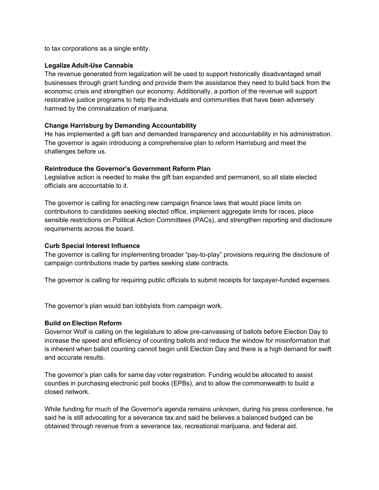to tax corporations as a single entity.  

#### **Legalize Adult-Use Cannabis**

The revenue generated from legalization will be used to support historically disadvantaged small businesses through grant funding and provide them the assistance they need to build back from the economic crisis and strengthen our economy. Additionally, a portion of the revenue will support restorative justice programs to help the individuals and communities that have been adversely harmed by the criminalization of marijuana. 

### **Change Harrisburg by Demanding Accountability**

He has implemented a gift ban and demanded transparency and accountability in his administration. The governor is again introducing a comprehensive plan to reform Harrisburg and meet the challenges before us.  

#### **Reintroduce the Governor's Government Reform Plan**

Legislative action is needed to make the gift ban expanded and permanent, so all state elected officials are accountable to it.   

The governor is calling for enacting new campaign finance laws that would place limits on contributions to candidates seeking elected office, implement aggregate limits for races, place sensible restrictions on Political Action Committees (PACs), and strengthen reporting and disclosure requirements across the board. 

#### **Curb Special Interest Influence**

The governor is calling for implementing broader "pay-to-play" provisions requiring the disclosure of campaign contributions made by parties seeking state contracts.    

The governor is calling for requiring public officials to submit receipts for taxpayer-funded expenses.

The governor's plan would ban lobbyists from campaign work. 

### **Build on Election Reform**

Governor Wolf is calling on the legislature to allow pre-canvassing of ballots before Election Day to increase the speed and efficiency of counting ballots and reduce the window for misinformation that is inherent when ballot counting cannot begin until Election Day and there is a high demand for swift and accurate results.  

The governor's plan calls for same day voter registration. Funding would be allocated to assist counties in purchasing electronic poll books (EPBs), and to allow the commonwealth to build a closed network. 

While funding for much of the Governor's agenda remains unknown, during his press conference, he said he is still advocating for a severance tax and said he believes a balanced budged can be obtained through revenue from a severance tax, recreational marijuana, and federal aid.